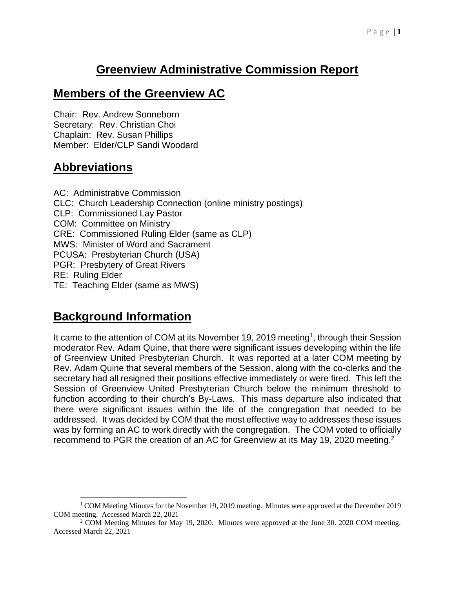# **Greenview Administrative Commission Report**

## **Members of the Greenview AC**

Chair: Rev. Andrew Sonneborn Secretary: Rev. Christian Choi Chaplain: Rev. Susan Phillips Member: Elder/CLP Sandi Woodard

# **Abbreviations**

AC: Administrative Commission CLC: Church Leadership Connection (online ministry postings) CLP: Commissioned Lay Pastor COM: Committee on Ministry CRE: Commissioned Ruling Elder (same as CLP) MWS: Minister of Word and Sacrament PCUSA: Presbyterian Church (USA) PGR: Presbytery of Great Rivers RE: Ruling Elder TE: Teaching Elder (same as MWS)

# **Background Information**

It came to the attention of COM at its November 19, 2019 meeting<sup>1</sup>, through their Session moderator Rev. Adam Quine, that there were significant issues developing within the life of Greenview United Presbyterian Church. It was reported at a later COM meeting by Rev. Adam Quine that several members of the Session, along with the co-clerks and the secretary had all resigned their positions effective immediately or were fired. This left the Session of Greenview United Presbyterian Church below the minimum threshold to function according to their church's By-Laws. This mass departure also indicated that there were significant issues within the life of the congregation that needed to be addressed. It was decided by COM that the most effective way to addresses these issues was by forming an AC to work directly with the congregation. The COM voted to officially recommend to PGR the creation of an AC for Greenview at its May 19, 2020 meeting.<sup>2</sup>

 $1$  COM Meeting Minutes for the November 19, 2019 meeting. Minutes were approved at the December 2019 COM meeting. Accessed March 22, 2021

 $2^2$  COM Meeting Minutes for May 19, 2020. Minutes were approved at the June 30. 2020 COM meeting. Accessed March 22, 2021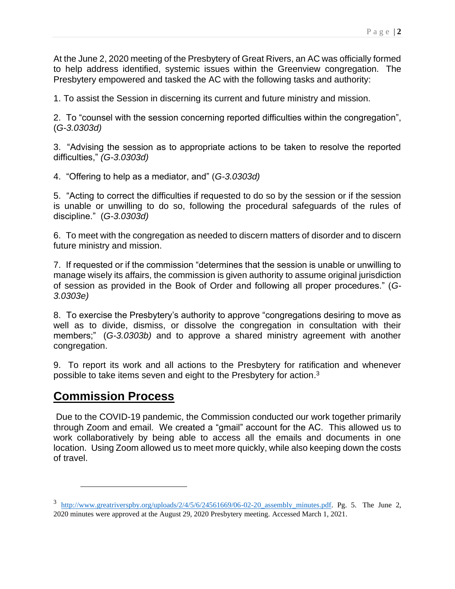At the June 2, 2020 meeting of the Presbytery of Great Rivers, an AC was officially formed to help address identified, systemic issues within the Greenview congregation. The Presbytery empowered and tasked the AC with the following tasks and authority:

1. To assist the Session in discerning its current and future ministry and mission.

2. To "counsel with the session concerning reported difficulties within the congregation", (*G-3.0303d)*

3. "Advising the session as to appropriate actions to be taken to resolve the reported difficulties," *(G-3.0303d)*

4. "Offering to help as a mediator, and" (*G-3.0303d)*

5. "Acting to correct the difficulties if requested to do so by the session or if the session is unable or unwilling to do so, following the procedural safeguards of the rules of discipline." (*G-3.0303d)*

6. To meet with the congregation as needed to discern matters of disorder and to discern future ministry and mission.

7. If requested or if the commission "determines that the session is unable or unwilling to manage wisely its affairs, the commission is given authority to assume original jurisdiction of session as provided in the Book of Order and following all proper procedures." (*G-3.0303e)*

8. To exercise the Presbytery's authority to approve "congregations desiring to move as well as to divide, dismiss, or dissolve the congregation in consultation with their members;" (*G-3.0303b)* and to approve a shared ministry agreement with another congregation.

9. To report its work and all actions to the Presbytery for ratification and whenever possible to take items seven and eight to the Presbytery for action. $3$ 

## **Commission Process**

Due to the COVID-19 pandemic, the Commission conducted our work together primarily through Zoom and email. We created a "gmail" account for the AC. This allowed us to work collaboratively by being able to access all the emails and documents in one location. Using Zoom allowed us to meet more quickly, while also keeping down the costs of travel.

 $3$  http://www.greatriverspby.org/uploads/2/4/5/6/24561669/06-02-20 assembly minutes.pdf. Pg. 5. The June 2, 2020 minutes were approved at the August 29, 2020 Presbytery meeting. Accessed March 1, 2021.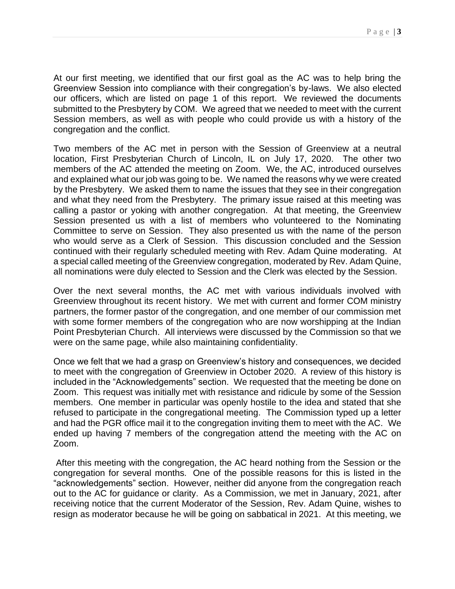At our first meeting, we identified that our first goal as the AC was to help bring the Greenview Session into compliance with their congregation's by-laws. We also elected our officers, which are listed on page 1 of this report. We reviewed the documents submitted to the Presbytery by COM. We agreed that we needed to meet with the current Session members, as well as with people who could provide us with a history of the congregation and the conflict.

Two members of the AC met in person with the Session of Greenview at a neutral location, First Presbyterian Church of Lincoln, IL on July 17, 2020. The other two members of the AC attended the meeting on Zoom. We, the AC, introduced ourselves and explained what our job was going to be. We named the reasons why we were created by the Presbytery. We asked them to name the issues that they see in their congregation and what they need from the Presbytery. The primary issue raised at this meeting was calling a pastor or yoking with another congregation. At that meeting, the Greenview Session presented us with a list of members who volunteered to the Nominating Committee to serve on Session. They also presented us with the name of the person who would serve as a Clerk of Session. This discussion concluded and the Session continued with their regularly scheduled meeting with Rev. Adam Quine moderating. At a special called meeting of the Greenview congregation, moderated by Rev. Adam Quine, all nominations were duly elected to Session and the Clerk was elected by the Session.

Over the next several months, the AC met with various individuals involved with Greenview throughout its recent history. We met with current and former COM ministry partners, the former pastor of the congregation, and one member of our commission met with some former members of the congregation who are now worshipping at the Indian Point Presbyterian Church. All interviews were discussed by the Commission so that we were on the same page, while also maintaining confidentiality.

Once we felt that we had a grasp on Greenview's history and consequences, we decided to meet with the congregation of Greenview in October 2020. A review of this history is included in the "Acknowledgements" section. We requested that the meeting be done on Zoom. This request was initially met with resistance and ridicule by some of the Session members. One member in particular was openly hostile to the idea and stated that she refused to participate in the congregational meeting. The Commission typed up a letter and had the PGR office mail it to the congregation inviting them to meet with the AC. We ended up having 7 members of the congregation attend the meeting with the AC on Zoom.

After this meeting with the congregation, the AC heard nothing from the Session or the congregation for several months. One of the possible reasons for this is listed in the "acknowledgements" section. However, neither did anyone from the congregation reach out to the AC for guidance or clarity. As a Commission, we met in January, 2021, after receiving notice that the current Moderator of the Session, Rev. Adam Quine, wishes to resign as moderator because he will be going on sabbatical in 2021. At this meeting, we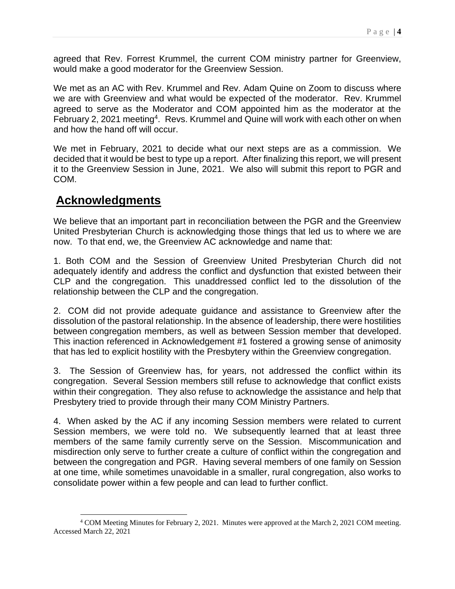agreed that Rev. Forrest Krummel, the current COM ministry partner for Greenview, would make a good moderator for the Greenview Session.

We met as an AC with Rev. Krummel and Rev. Adam Quine on Zoom to discuss where we are with Greenview and what would be expected of the moderator. Rev. Krummel agreed to serve as the Moderator and COM appointed him as the moderator at the February 2, 2021 meeting<sup>4</sup>. Revs. Krummel and Quine will work with each other on when and how the hand off will occur.

We met in February, 2021 to decide what our next steps are as a commission. We decided that it would be best to type up a report. After finalizing this report, we will present it to the Greenview Session in June, 2021. We also will submit this report to PGR and COM.

## **Acknowledgments**

We believe that an important part in reconciliation between the PGR and the Greenview United Presbyterian Church is acknowledging those things that led us to where we are now. To that end, we, the Greenview AC acknowledge and name that:

1. Both COM and the Session of Greenview United Presbyterian Church did not adequately identify and address the conflict and dysfunction that existed between their CLP and the congregation. This unaddressed conflict led to the dissolution of the relationship between the CLP and the congregation.

2. COM did not provide adequate guidance and assistance to Greenview after the dissolution of the pastoral relationship. In the absence of leadership, there were hostilities between congregation members, as well as between Session member that developed. This inaction referenced in Acknowledgement #1 fostered a growing sense of animosity that has led to explicit hostility with the Presbytery within the Greenview congregation.

3. The Session of Greenview has, for years, not addressed the conflict within its congregation. Several Session members still refuse to acknowledge that conflict exists within their congregation. They also refuse to acknowledge the assistance and help that Presbytery tried to provide through their many COM Ministry Partners.

4. When asked by the AC if any incoming Session members were related to current Session members, we were told no. We subsequently learned that at least three members of the same family currently serve on the Session. Miscommunication and misdirection only serve to further create a culture of conflict within the congregation and between the congregation and PGR. Having several members of one family on Session at one time, while sometimes unavoidable in a smaller, rural congregation, also works to consolidate power within a few people and can lead to further conflict.

<sup>4</sup> COM Meeting Minutes for February 2, 2021. Minutes were approved at the March 2, 2021 COM meeting. Accessed March 22, 2021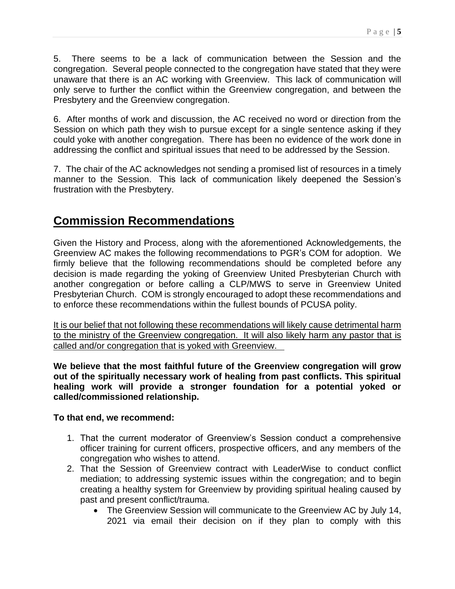5. There seems to be a lack of communication between the Session and the congregation. Several people connected to the congregation have stated that they were unaware that there is an AC working with Greenview. This lack of communication will only serve to further the conflict within the Greenview congregation, and between the Presbytery and the Greenview congregation.

6. After months of work and discussion, the AC received no word or direction from the Session on which path they wish to pursue except for a single sentence asking if they could yoke with another congregation. There has been no evidence of the work done in addressing the conflict and spiritual issues that need to be addressed by the Session.

7. The chair of the AC acknowledges not sending a promised list of resources in a timely manner to the Session. This lack of communication likely deepened the Session's frustration with the Presbytery.

# **Commission Recommendations**

Given the History and Process, along with the aforementioned Acknowledgements, the Greenview AC makes the following recommendations to PGR's COM for adoption. We firmly believe that the following recommendations should be completed before any decision is made regarding the yoking of Greenview United Presbyterian Church with another congregation or before calling a CLP/MWS to serve in Greenview United Presbyterian Church. COM is strongly encouraged to adopt these recommendations and to enforce these recommendations within the fullest bounds of PCUSA polity.

It is our belief that not following these recommendations will likely cause detrimental harm to the ministry of the Greenview congregation. It will also likely harm any pastor that is called and/or congregation that is yoked with Greenview.

**We believe that the most faithful future of the Greenview congregation will grow out of the spiritually necessary work of healing from past conflicts. This spiritual healing work will provide a stronger foundation for a potential yoked or called/commissioned relationship.**

### **To that end, we recommend:**

- 1. That the current moderator of Greenview's Session conduct a comprehensive officer training for current officers, prospective officers, and any members of the congregation who wishes to attend.
- 2. That the Session of Greenview contract with LeaderWise to conduct conflict mediation; to addressing systemic issues within the congregation; and to begin creating a healthy system for Greenview by providing spiritual healing caused by past and present conflict/trauma.
	- The Greenview Session will communicate to the Greenview AC by July 14, 2021 via email their decision on if they plan to comply with this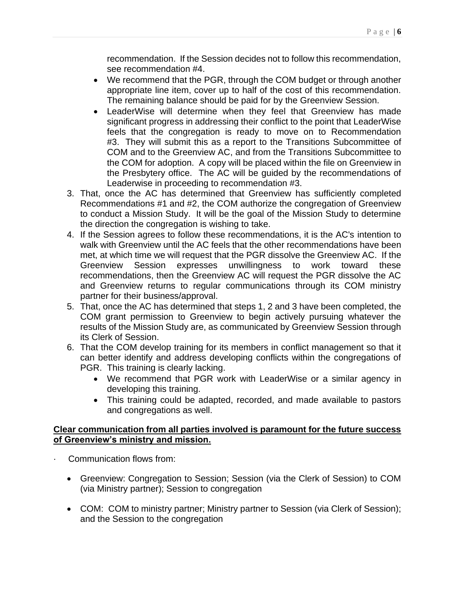recommendation. If the Session decides not to follow this recommendation, see recommendation #4.

- We recommend that the PGR, through the COM budget or through another appropriate line item, cover up to half of the cost of this recommendation. The remaining balance should be paid for by the Greenview Session.
- LeaderWise will determine when they feel that Greenview has made significant progress in addressing their conflict to the point that LeaderWise feels that the congregation is ready to move on to Recommendation #3. They will submit this as a report to the Transitions Subcommittee of COM and to the Greenview AC, and from the Transitions Subcommittee to the COM for adoption. A copy will be placed within the file on Greenview in the Presbytery office. The AC will be guided by the recommendations of Leaderwise in proceeding to recommendation #3.
- 3. That, once the AC has determined that Greenview has sufficiently completed Recommendations #1 and #2, the COM authorize the congregation of Greenview to conduct a Mission Study. It will be the goal of the Mission Study to determine the direction the congregation is wishing to take.
- 4. If the Session agrees to follow these recommendations, it is the AC's intention to walk with Greenview until the AC feels that the other recommendations have been met, at which time we will request that the PGR dissolve the Greenview AC. If the Greenview Session expresses unwillingness to work toward these recommendations, then the Greenview AC will request the PGR dissolve the AC and Greenview returns to regular communications through its COM ministry partner for their business/approval.
- 5. That, once the AC has determined that steps 1, 2 and 3 have been completed, the COM grant permission to Greenview to begin actively pursuing whatever the results of the Mission Study are, as communicated by Greenview Session through its Clerk of Session.
- 6. That the COM develop training for its members in conflict management so that it can better identify and address developing conflicts within the congregations of PGR. This training is clearly lacking.
	- We recommend that PGR work with LeaderWise or a similar agency in developing this training.
	- This training could be adapted, recorded, and made available to pastors and congregations as well.

#### **Clear communication from all parties involved is paramount for the future success of Greenview's ministry and mission.**

- Communication flows from:
	- Greenview: Congregation to Session; Session (via the Clerk of Session) to COM (via Ministry partner); Session to congregation
	- COM: COM to ministry partner; Ministry partner to Session (via Clerk of Session); and the Session to the congregation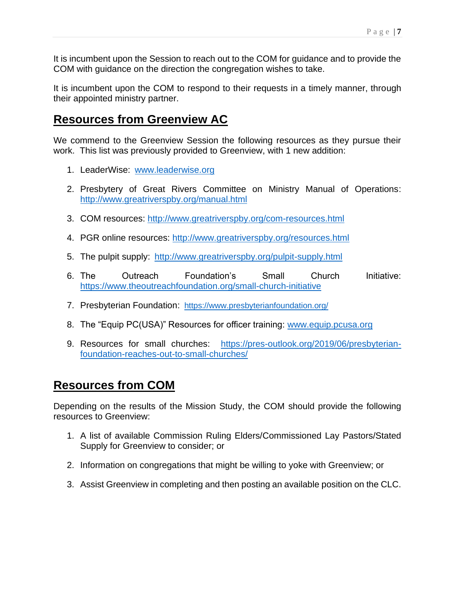It is incumbent upon the Session to reach out to the COM for guidance and to provide the COM with guidance on the direction the congregation wishes to take.

It is incumbent upon the COM to respond to their requests in a timely manner, through their appointed ministry partner.

## **Resources from Greenview AC**

We commend to the Greenview Session the following resources as they pursue their work. This list was previously provided to Greenview, with 1 new addition:

- 1. LeaderWise: [www.leaderwise.org](http://www.leaderwise.org/)
- 2. Presbytery of Great Rivers Committee on Ministry Manual of Operations: <http://www.greatriverspby.org/manual.html>
- 3. COM resources: <http://www.greatriverspby.org/com-resources.html>
- 4. PGR online resources: <http://www.greatriverspby.org/resources.html>
- 5. The pulpit supply: <http://www.greatriverspby.org/pulpit-supply.html>
- 6. The Outreach Foundation's Small Church Initiative: <https://www.theoutreachfoundation.org/small-church-initiative>
- 7. Presbyterian Foundation: <https://www.presbyterianfoundation.org/>
- 8. The "Equip PC(USA)" Resources for officer training: [www.equip.pcusa.org](http://www.equip.pcusa.org/)
- 9. Resources for small churches: [https://pres-outlook.org/2019/06/presbyterian](https://pres-outlook.org/2019/06/presbyterian-foundation-reaches-out-to-small-churches/)[foundation-reaches-out-to-small-churches/](https://pres-outlook.org/2019/06/presbyterian-foundation-reaches-out-to-small-churches/)

## **Resources from COM**

Depending on the results of the Mission Study, the COM should provide the following resources to Greenview:

- 1. A list of available Commission Ruling Elders/Commissioned Lay Pastors/Stated Supply for Greenview to consider; or
- 2. Information on congregations that might be willing to yoke with Greenview; or
- 3. Assist Greenview in completing and then posting an available position on the CLC.